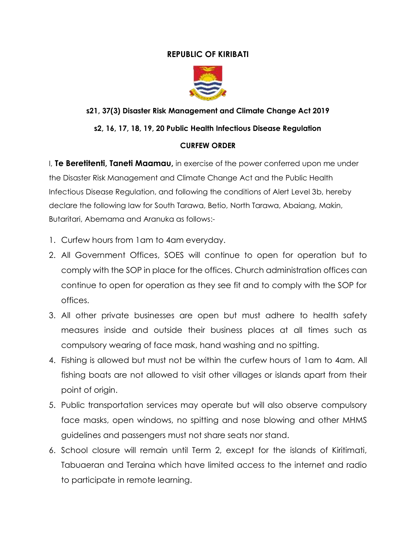## **REPUBLIC OF KIRIBATI**



# **s21, 37(3) Disaster Risk Management and Climate Change Act 2019**

### **s2, 16, 17, 18, 19, 20 Public Health Infectious Disease Regulation**

#### **CURFEW ORDER**

I, **Te Beretitenti, Taneti Maamau,** in exercise of the power conferred upon me under the Disaster Risk Management and Climate Change Act and the Public Health Infectious Disease Regulation, and following the conditions of Alert Level 3b, hereby declare the following law for South Tarawa, Betio, North Tarawa, Abaiang, Makin, Butaritari, Abemama and Aranuka as follows:-

- 1. Curfew hours from 1am to 4am everyday.
- 2. All Government Offices, SOES will continue to open for operation but to comply with the SOP in place for the offices. Church administration offices can continue to open for operation as they see fit and to comply with the SOP for offices.
- 3. All other private businesses are open but must adhere to health safety measures inside and outside their business places at all times such as compulsory wearing of face mask, hand washing and no spitting.
- 4. Fishing is allowed but must not be within the curfew hours of 1am to 4am. All fishing boats are not allowed to visit other villages or islands apart from their point of origin.
- 5. Public transportation services may operate but will also observe compulsory face masks, open windows, no spitting and nose blowing and other MHMS guidelines and passengers must not share seats nor stand.
- 6. School closure will remain until Term 2, except for the islands of Kiritimati, Tabuaeran and Teraina which have limited access to the internet and radio to participate in remote learning.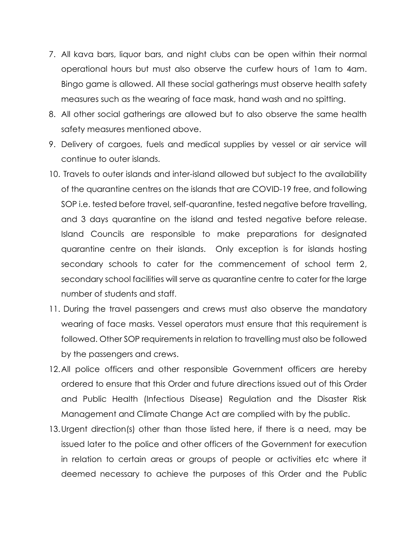- 7. All kava bars, liquor bars, and night clubs can be open within their normal operational hours but must also observe the curfew hours of 1am to 4am. Bingo game is allowed. All these social gatherings must observe health safety measures such as the wearing of face mask, hand wash and no spitting.
- 8. All other social gatherings are allowed but to also observe the same health safety measures mentioned above.
- 9. Delivery of cargoes, fuels and medical supplies by vessel or air service will continue to outer islands.
- 10. Travels to outer islands and inter-island allowed but subject to the availability of the quarantine centres on the islands that are COVID-19 free, and following SOP i.e. tested before travel, self-quarantine, tested negative before travelling, and 3 days quarantine on the island and tested negative before release. Island Councils are responsible to make preparations for designated quarantine centre on their islands. Only exception is for islands hosting secondary schools to cater for the commencement of school term 2, secondary school facilities will serve as quarantine centre to cater for the large number of students and staff.
- 11. During the travel passengers and crews must also observe the mandatory wearing of face masks. Vessel operators must ensure that this requirement is followed. Other SOP requirements in relation to travelling must also be followed by the passengers and crews.
- 12.All police officers and other responsible Government officers are hereby ordered to ensure that this Order and future directions issued out of this Order and Public Health (Infectious Disease) Regulation and the Disaster Risk Management and Climate Change Act are complied with by the public.
- 13.Urgent direction(s) other than those listed here, if there is a need, may be issued later to the police and other officers of the Government for execution in relation to certain areas or groups of people or activities etc where it deemed necessary to achieve the purposes of this Order and the Public